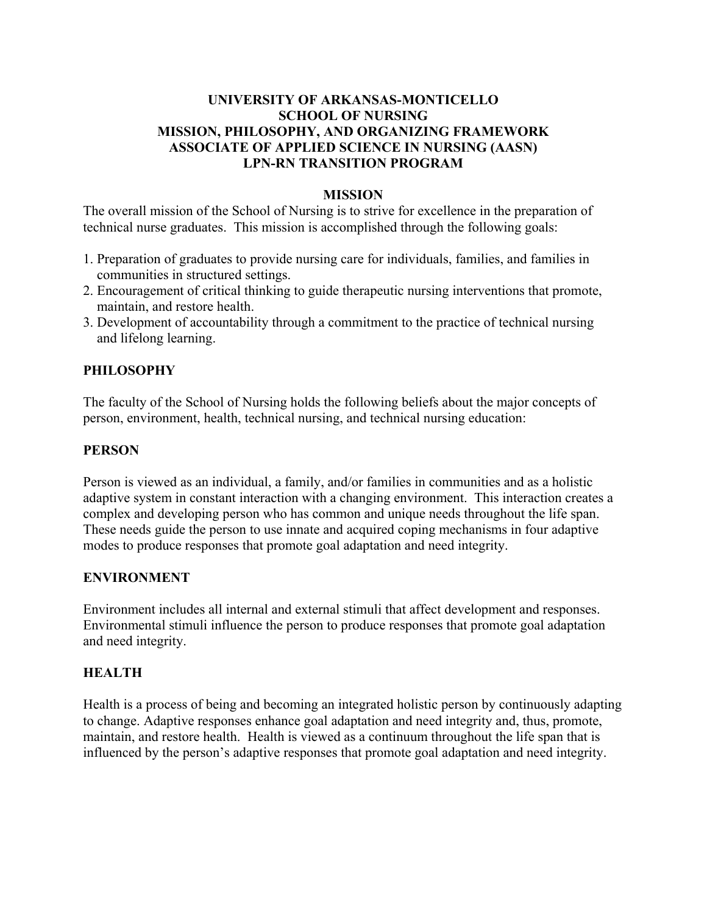## **UNIVERSITY OF ARKANSAS-MONTICELLO SCHOOL OF NURSING MISSION, PHILOSOPHY, AND ORGANIZING FRAMEWORK ASSOCIATE OF APPLIED SCIENCE IN NURSING (AASN) LPN-RN TRANSITION PROGRAM**

#### **MISSION**

The overall mission of the School of Nursing is to strive for excellence in the preparation of technical nurse graduates. This mission is accomplished through the following goals:

- 1. Preparation of graduates to provide nursing care for individuals, families, and families in communities in structured settings.
- 2. Encouragement of critical thinking to guide therapeutic nursing interventions that promote, maintain, and restore health.
- 3. Development of accountability through a commitment to the practice of technical nursing and lifelong learning.

## **PHILOSOPHY**

The faculty of the School of Nursing holds the following beliefs about the major concepts of person, environment, health, technical nursing, and technical nursing education:

#### **PERSON**

Person is viewed as an individual, a family, and/or families in communities and as a holistic adaptive system in constant interaction with a changing environment. This interaction creates a complex and developing person who has common and unique needs throughout the life span. These needs guide the person to use innate and acquired coping mechanisms in four adaptive modes to produce responses that promote goal adaptation and need integrity.

#### **ENVIRONMENT**

Environment includes all internal and external stimuli that affect development and responses. Environmental stimuli influence the person to produce responses that promote goal adaptation and need integrity.

#### **HEALTH**

Health is a process of being and becoming an integrated holistic person by continuously adapting to change. Adaptive responses enhance goal adaptation and need integrity and, thus, promote, maintain, and restore health. Health is viewed as a continuum throughout the life span that is influenced by the person's adaptive responses that promote goal adaptation and need integrity.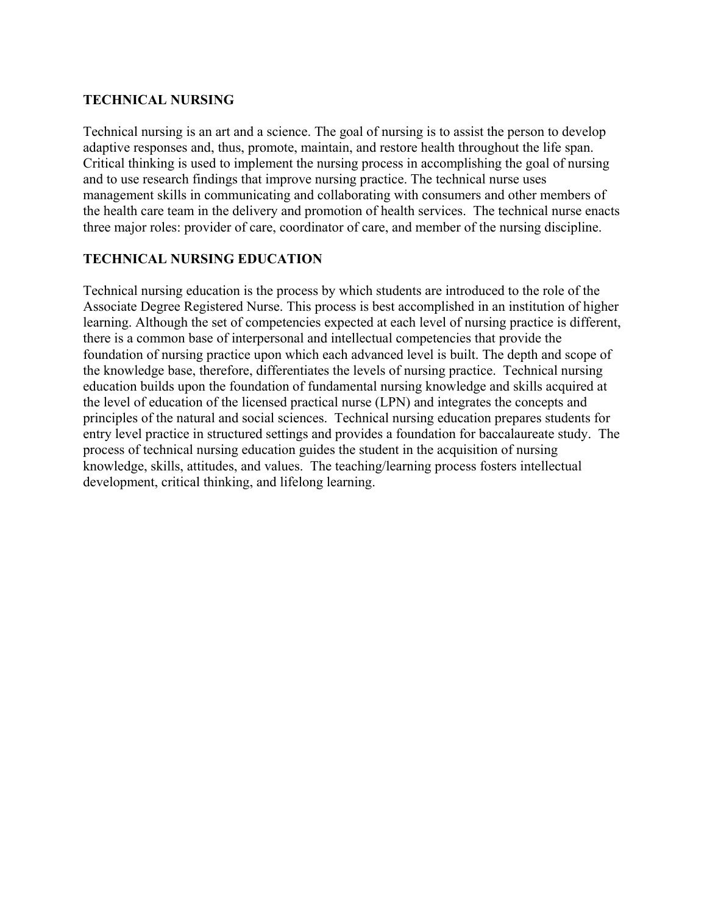#### **TECHNICAL NURSING**

Technical nursing is an art and a science. The goal of nursing is to assist the person to develop adaptive responses and, thus, promote, maintain, and restore health throughout the life span. Critical thinking is used to implement the nursing process in accomplishing the goal of nursing and to use research findings that improve nursing practice. The technical nurse uses management skills in communicating and collaborating with consumers and other members of the health care team in the delivery and promotion of health services. The technical nurse enacts three major roles: provider of care, coordinator of care, and member of the nursing discipline.

## **TECHNICAL NURSING EDUCATION**

Technical nursing education is the process by which students are introduced to the role of the Associate Degree Registered Nurse. This process is best accomplished in an institution of higher learning. Although the set of competencies expected at each level of nursing practice is different, there is a common base of interpersonal and intellectual competencies that provide the foundation of nursing practice upon which each advanced level is built. The depth and scope of the knowledge base, therefore, differentiates the levels of nursing practice. Technical nursing education builds upon the foundation of fundamental nursing knowledge and skills acquired at the level of education of the licensed practical nurse (LPN) and integrates the concepts and principles of the natural and social sciences. Technical nursing education prepares students for entry level practice in structured settings and provides a foundation for baccalaureate study. The process of technical nursing education guides the student in the acquisition of nursing knowledge, skills, attitudes, and values. The teaching/learning process fosters intellectual development, critical thinking, and lifelong learning.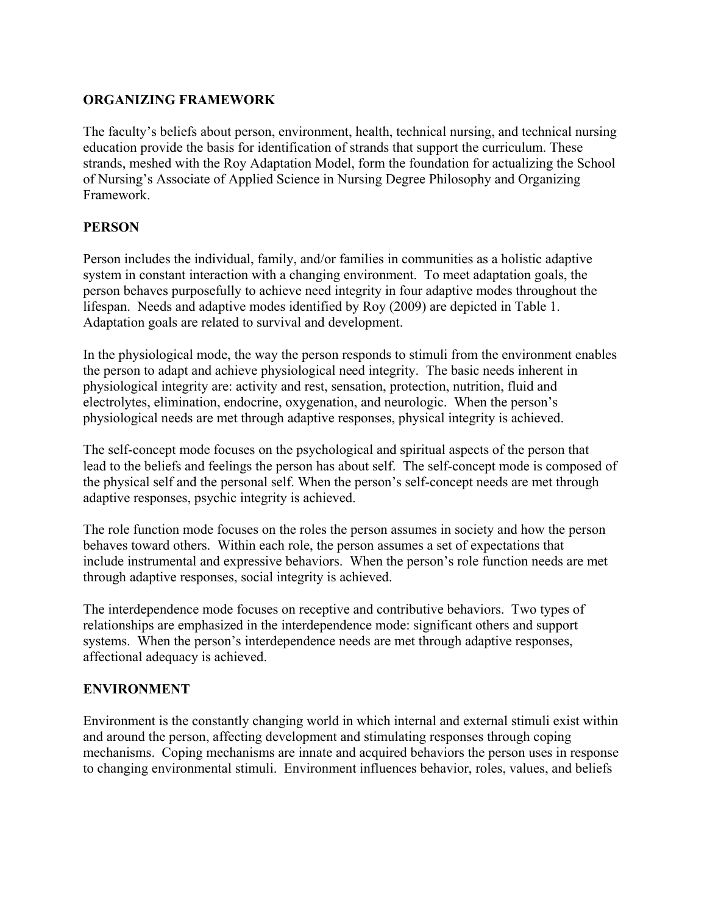### **ORGANIZING FRAMEWORK**

The faculty's beliefs about person, environment, health, technical nursing, and technical nursing education provide the basis for identification of strands that support the curriculum. These strands, meshed with the Roy Adaptation Model, form the foundation for actualizing the School of Nursing's Associate of Applied Science in Nursing Degree Philosophy and Organizing Framework.

#### **PERSON**

Person includes the individual, family, and/or families in communities as a holistic adaptive system in constant interaction with a changing environment. To meet adaptation goals, the person behaves purposefully to achieve need integrity in four adaptive modes throughout the lifespan. Needs and adaptive modes identified by Roy (2009) are depicted in Table 1. Adaptation goals are related to survival and development.

In the physiological mode, the way the person responds to stimuli from the environment enables the person to adapt and achieve physiological need integrity. The basic needs inherent in physiological integrity are: activity and rest, sensation, protection, nutrition, fluid and electrolytes, elimination, endocrine, oxygenation, and neurologic. When the person's physiological needs are met through adaptive responses, physical integrity is achieved.

The self-concept mode focuses on the psychological and spiritual aspects of the person that lead to the beliefs and feelings the person has about self. The self-concept mode is composed of the physical self and the personal self. When the person's self-concept needs are met through adaptive responses, psychic integrity is achieved.

The role function mode focuses on the roles the person assumes in society and how the person behaves toward others. Within each role, the person assumes a set of expectations that include instrumental and expressive behaviors. When the person's role function needs are met through adaptive responses, social integrity is achieved.

The interdependence mode focuses on receptive and contributive behaviors. Two types of relationships are emphasized in the interdependence mode: significant others and support systems. When the person's interdependence needs are met through adaptive responses, affectional adequacy is achieved.

## **ENVIRONMENT**

Environment is the constantly changing world in which internal and external stimuli exist within and around the person, affecting development and stimulating responses through coping mechanisms. Coping mechanisms are innate and acquired behaviors the person uses in response to changing environmental stimuli. Environment influences behavior, roles, values, and beliefs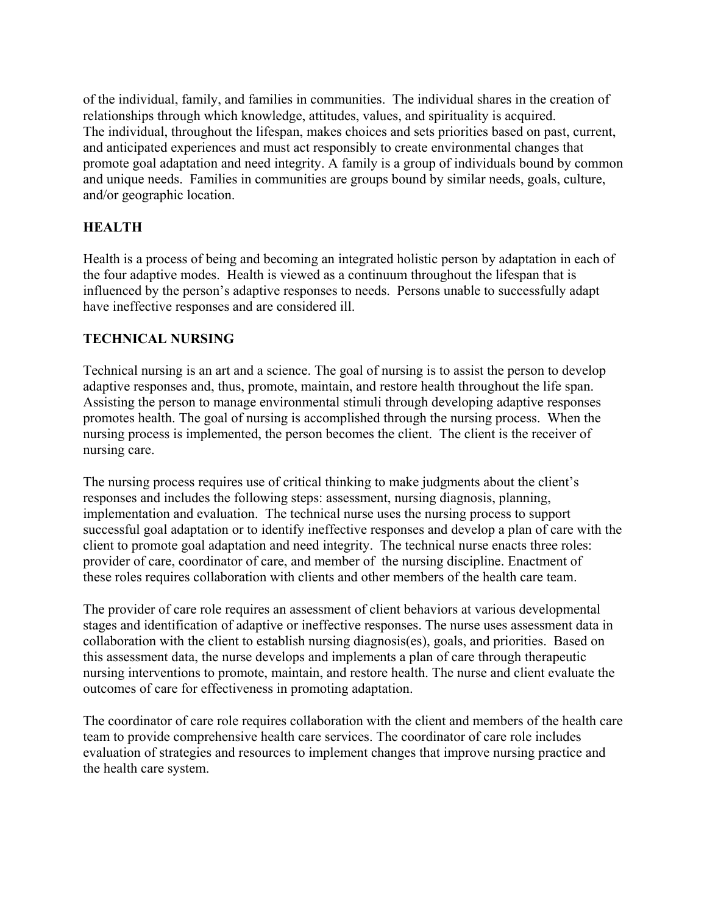of the individual, family, and families in communities. The individual shares in the creation of relationships through which knowledge, attitudes, values, and spirituality is acquired. The individual, throughout the lifespan, makes choices and sets priorities based on past, current, and anticipated experiences and must act responsibly to create environmental changes that promote goal adaptation and need integrity. A family is a group of individuals bound by common and unique needs. Families in communities are groups bound by similar needs, goals, culture, and/or geographic location.

## **HEALTH**

Health is a process of being and becoming an integrated holistic person by adaptation in each of the four adaptive modes. Health is viewed as a continuum throughout the lifespan that is influenced by the person's adaptive responses to needs. Persons unable to successfully adapt have ineffective responses and are considered ill.

## **TECHNICAL NURSING**

Technical nursing is an art and a science. The goal of nursing is to assist the person to develop adaptive responses and, thus, promote, maintain, and restore health throughout the life span. Assisting the person to manage environmental stimuli through developing adaptive responses promotes health. The goal of nursing is accomplished through the nursing process. When the nursing process is implemented, the person becomes the client. The client is the receiver of nursing care.

The nursing process requires use of critical thinking to make judgments about the client's responses and includes the following steps: assessment, nursing diagnosis, planning, implementation and evaluation. The technical nurse uses the nursing process to support successful goal adaptation or to identify ineffective responses and develop a plan of care with the client to promote goal adaptation and need integrity. The technical nurse enacts three roles: provider of care, coordinator of care, and member of the nursing discipline. Enactment of these roles requires collaboration with clients and other members of the health care team.

The provider of care role requires an assessment of client behaviors at various developmental stages and identification of adaptive or ineffective responses. The nurse uses assessment data in collaboration with the client to establish nursing diagnosis(es), goals, and priorities. Based on this assessment data, the nurse develops and implements a plan of care through therapeutic nursing interventions to promote, maintain, and restore health. The nurse and client evaluate the outcomes of care for effectiveness in promoting adaptation.

The coordinator of care role requires collaboration with the client and members of the health care team to provide comprehensive health care services. The coordinator of care role includes evaluation of strategies and resources to implement changes that improve nursing practice and the health care system.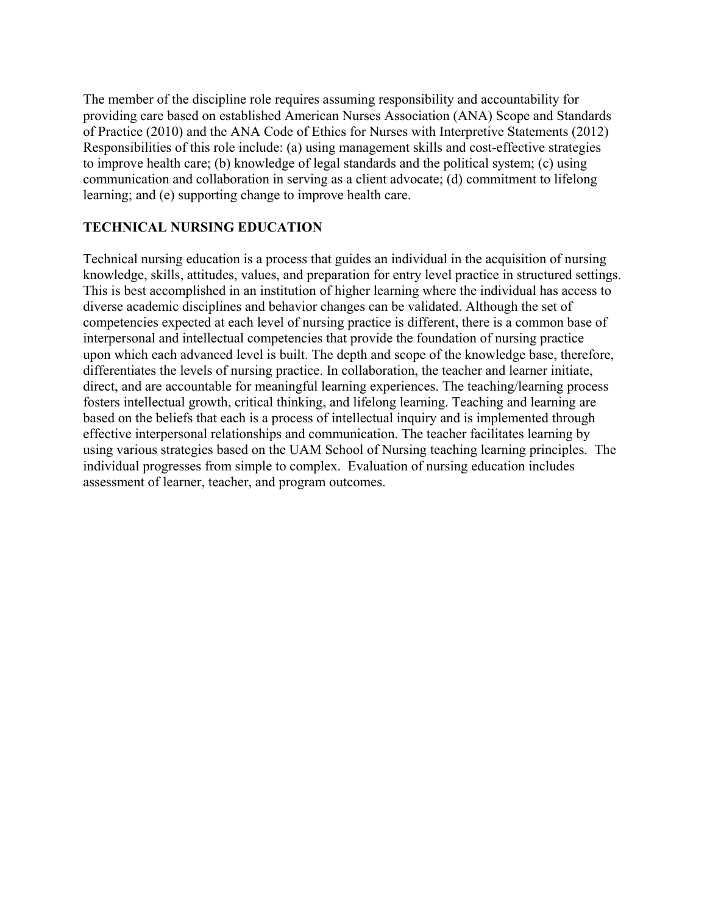The member of the discipline role requires assuming responsibility and accountability for providing care based on established American Nurses Association (ANA) Scope and Standards of Practice (2010) and the ANA Code of Ethics for Nurses with Interpretive Statements (2012) Responsibilities of this role include: (a) using management skills and cost-effective strategies to improve health care; (b) knowledge of legal standards and the political system; (c) using communication and collaboration in serving as a client advocate; (d) commitment to lifelong learning; and (e) supporting change to improve health care.

## **TECHNICAL NURSING EDUCATION**

Technical nursing education is a process that guides an individual in the acquisition of nursing knowledge, skills, attitudes, values, and preparation for entry level practice in structured settings. This is best accomplished in an institution of higher learning where the individual has access to diverse academic disciplines and behavior changes can be validated. Although the set of competencies expected at each level of nursing practice is different, there is a common base of interpersonal and intellectual competencies that provide the foundation of nursing practice upon which each advanced level is built. The depth and scope of the knowledge base, therefore, differentiates the levels of nursing practice. In collaboration, the teacher and learner initiate, direct, and are accountable for meaningful learning experiences. The teaching/learning process fosters intellectual growth, critical thinking, and lifelong learning. Teaching and learning are based on the beliefs that each is a process of intellectual inquiry and is implemented through effective interpersonal relationships and communication. The teacher facilitates learning by using various strategies based on the UAM School of Nursing teaching learning principles. The individual progresses from simple to complex. Evaluation of nursing education includes assessment of learner, teacher, and program outcomes.